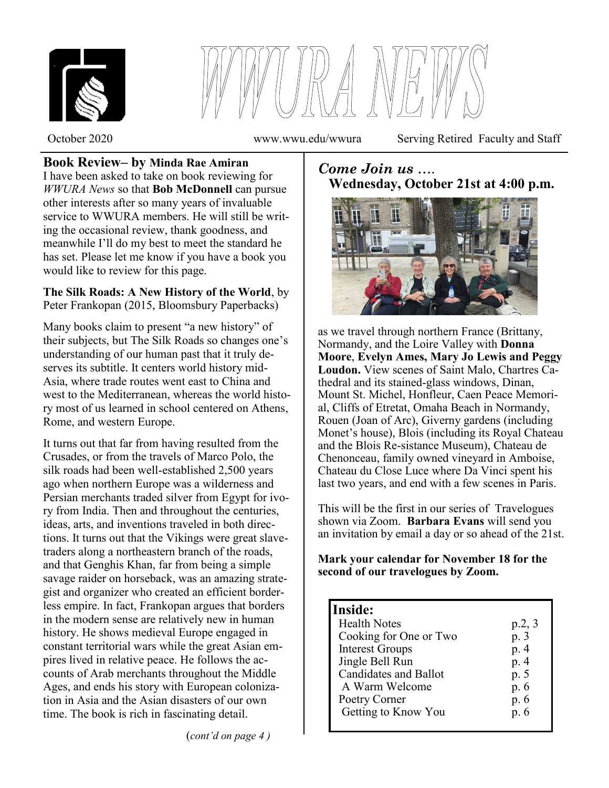



October 2020 www.wwu.edu/wwura Serving Retired Faculty and Staff

#### **Book Review– by Minda Rae Amiran** I have been asked to take on book reviewing for *WWURA News* so that **Bob McDonnell** can pursue other interests after so many years of invaluable service to WWURA members. He will still be writing the occasional review, thank goodness, and meanwhile I'll do my best to meet the standard he has set. Please let me know if you have a book you would like to review for this page.

### **The Silk Roads: A New History of the World**, by Peter Frankopan (2015, Bloomsbury Paperbacks)

Many books claim to present "a new history" of their subjects, but The Silk Roads so changes one's understanding of our human past that it truly deserves its subtitle. It centers world history mid-Asia, where trade routes went east to China and west to the Mediterranean, whereas the world history most of us learned in school centered on Athens, Rome, and western Europe.

It turns out that far from having resulted from the Crusades, or from the travels of Marco Polo, the silk roads had been well-established 2,500 years ago when northern Europe was a wilderness and Persian merchants traded silver from Egypt for ivory from India. Then and throughout the centuries, ideas, arts, and inventions traveled in both directions. It turns out that the Vikings were great slavetraders along a northeastern branch of the roads, and that Genghis Khan, far from being a simple savage raider on horseback, was an amazing strategist and organizer who created an efficient borderless empire. In fact, Frankopan argues that borders in the modern sense are relatively new in human history. He shows medieval Europe engaged in constant territorial wars while the great Asian empires lived in relative peace. He follows the accounts of Arab merchants throughout the Middle Ages, and ends his story with European colonization in Asia and the Asian disasters of our own time. The book is rich in fascinating detail.

# *Come Join us* …. **Wednesday, October 21st at 4:00 p.m.**



as we travel through northern France (Brittany, Normandy, and the Loire Valley with **Donna Moore**, **Evelyn Ames, Mary Jo Lewis and Peggy Loudon.** View scenes of Saint Malo, Chartres Cathedral and its stained-glass windows, Dinan, Mount St. Michel, Honfleur, Caen Peace Memorial, Cliffs of Etretat, Omaha Beach in Normandy, Rouen (Joan of Arc), Giverny gardens (including Monet's house), Blois (including its Royal Chateau and the Blois Re-sistance Museum), Chateau de Chenonceau, family owned vineyard in Amboise, Chateau du Close Luce where Da Vinci spent his last two years, and end with a few scenes in Paris.

This will be the first in our series of Travelogues shown via Zoom. **Barbara Evans** will send you an invitation by email a day or so ahead of the 21st.

**Mark your calendar for November 18 for the second of our travelogues by Zoom.**

# **Inside:**

٦

| <b>Health Notes</b>          | p.2, 3 |
|------------------------------|--------|
| Cooking for One or Two       | p. 3   |
| <b>Interest Groups</b>       | p. 4   |
| Jingle Bell Run              | p. 4   |
| <b>Candidates and Ballot</b> | p. 5   |
| A Warm Welcome               | p. 6   |
| Poetry Corner                | p. 6   |
| Getting to Know You          | p. 6   |
|                              |        |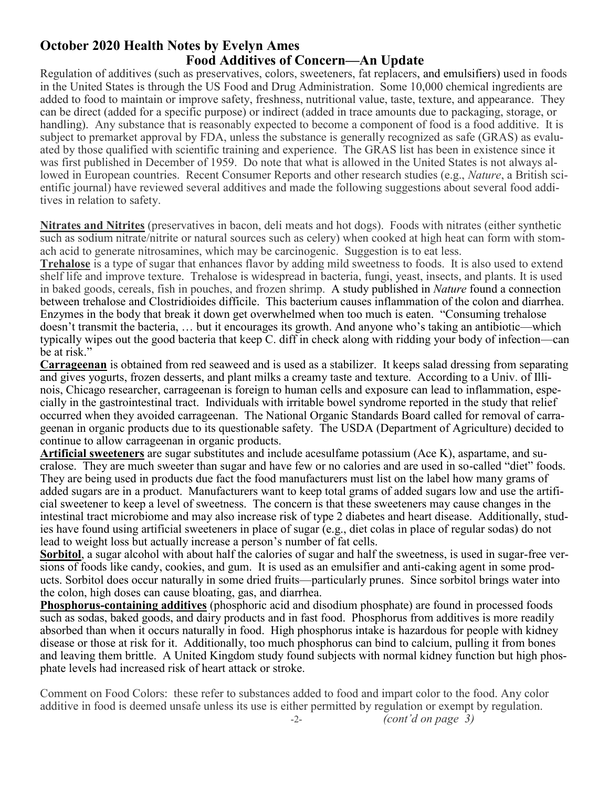## **October 2020 Health Notes by Evelyn Ames Food Additives of Concern—An Update**

Regulation of additives (such as preservatives, colors, sweeteners, fat replacers, and emulsifiers) used in foods in the United States is through the US Food and Drug Administration. Some 10,000 chemical ingredients are added to food to maintain or improve safety, freshness, nutritional value, taste, texture, and appearance. They can be direct (added for a specific purpose) or indirect (added in trace amounts due to packaging, storage, or handling). Any substance that is reasonably expected to become a component of food is a food additive. It is subject to premarket approval by FDA, unless the substance is generally recognized as safe (GRAS) as evaluated by those qualified with scientific training and experience. The GRAS list has been in existence since it was first published in December of 1959. Do note that what is allowed in the United States is not always allowed in European countries. Recent Consumer Reports and other research studies (e.g., *Nature*, a British scientific journal) have reviewed several additives and made the following suggestions about several food additives in relation to safety.

**Nitrates and Nitrites** (preservatives in bacon, deli meats and hot dogs). Foods with nitrates (either synthetic such as sodium nitrate/nitrite or natural sources such as celery) when cooked at high heat can form with stomach acid to generate nitrosamines, which may be carcinogenic. Suggestion is to eat less.

**Trehalose** is a type of sugar that enhances flavor by adding mild sweetness to foods. It is also used to extend shelf life and improve texture. Trehalose is widespread in bacteria, fungi, yeast, insects, and plants. It is used in baked goods, cereals, fish in pouches, and frozen shrimp. A study published in *Nature* found a connection between trehalose and Clostridioides difficile. This bacterium causes inflammation of the colon and diarrhea. Enzymes in the body that break it down get overwhelmed when too much is eaten. "Consuming trehalose doesn't transmit the bacteria, … but it encourages its growth. And anyone who's taking an antibiotic—which typically wipes out the good bacteria that keep C. diff in check along with ridding your body of infection—can be at risk."

**Carrageenan** is obtained from red seaweed and is used as a stabilizer. It keeps salad dressing from separating and gives yogurts, frozen desserts, and plant milks a creamy taste and texture. According to a Univ. of Illinois, Chicago researcher, carrageenan is foreign to human cells and exposure can lead to inflammation, especially in the gastrointestinal tract. Individuals with irritable bowel syndrome reported in the study that relief occurred when they avoided carrageenan. The National Organic Standards Board called for removal of carrageenan in organic products due to its questionable safety. The USDA (Department of Agriculture) decided to continue to allow carrageenan in organic products.

**Artificial sweeteners** are sugar substitutes and include acesulfame potassium (Ace K), aspartame, and sucralose. They are much sweeter than sugar and have few or no calories and are used in so-called "diet" foods. They are being used in products due fact the food manufacturers must list on the label how many grams of added sugars are in a product. Manufacturers want to keep total grams of added sugars low and use the artificial sweetener to keep a level of sweetness. The concern is that these sweeteners may cause changes in the intestinal tract microbiome and may also increase risk of type 2 diabetes and heart disease. Additionally, studies have found using artificial sweeteners in place of sugar (e.g., diet colas in place of regular sodas) do not lead to weight loss but actually increase a person's number of fat cells.

**Sorbitol**, a sugar alcohol with about half the calories of sugar and half the sweetness, is used in sugar-free versions of foods like candy, cookies, and gum. It is used as an emulsifier and anti-caking agent in some products. Sorbitol does occur naturally in some dried fruits—particularly prunes. Since sorbitol brings water into the colon, high doses can cause bloating, gas, and diarrhea.

**Phosphorus-containing additives** (phosphoric acid and disodium phosphate) are found in processed foods such as sodas, baked goods, and dairy products and in fast food. Phosphorus from additives is more readily absorbed than when it occurs naturally in food. High phosphorus intake is hazardous for people with kidney disease or those at risk for it. Additionally, too much phosphorus can bind to calcium, pulling it from bones and leaving them brittle. A United Kingdom study found subjects with normal kidney function but high phosphate levels had increased risk of heart attack or stroke.

Comment on Food Colors: these refer to substances added to food and impart color to the food. Any color additive in food is deemed unsafe unless its use is either permitted by regulation or exempt by regulation. -2- *(cont'd on page 3)*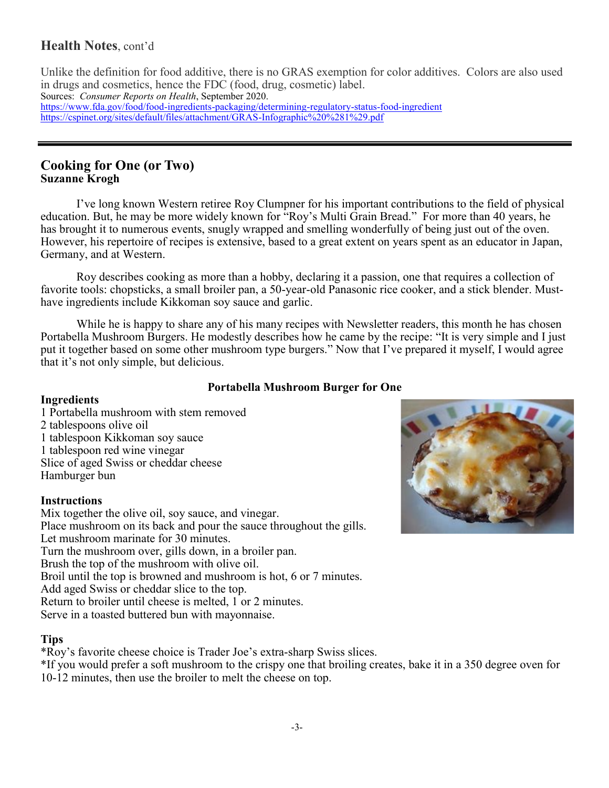## **Health Notes**, cont'd

Unlike the definition for food additive, there is no GRAS exemption for color additives. Colors are also used in drugs and cosmetics, hence the FDC (food, drug, cosmetic) label. Sources: *Consumer Reports on Health*, September 2020. [https://www.fda.gov/food/food](https://www.fda.gov/food/food-ingredients-packaging/determining-regulatory-status-food-ingredient)-ingredients-packaging/determining-regulatory-status-food-ingredient [https://cspinet.org/sites/default/files/attachment/GRAS](https://cspinet.org/sites/default/files/attachment/GRAS-Infographic%20%281%29.pdf)-Infographic%20%281%29.pdf

### **Cooking for One (or Two) Suzanne Krogh**

I've long known Western retiree Roy Clumpner for his important contributions to the field of physical education. But, he may be more widely known for "Roy's Multi Grain Bread." For more than 40 years, he has brought it to numerous events, snugly wrapped and smelling wonderfully of being just out of the oven. However, his repertoire of recipes is extensive, based to a great extent on years spent as an educator in Japan, Germany, and at Western.

Roy describes cooking as more than a hobby, declaring it a passion, one that requires a collection of favorite tools: chopsticks, a small broiler pan, a 50-year-old Panasonic rice cooker, and a stick blender. Musthave ingredients include Kikkoman soy sauce and garlic.

While he is happy to share any of his many recipes with Newsletter readers, this month he has chosen Portabella Mushroom Burgers. He modestly describes how he came by the recipe: "It is very simple and I just put it together based on some other mushroom type burgers." Now that I've prepared it myself, I would agree that it's not only simple, but delicious.

#### **Portabella Mushroom Burger for One**

#### **Ingredients**

1 Portabella mushroom with stem removed 2 tablespoons olive oil 1 tablespoon Kikkoman soy sauce 1 tablespoon red wine vinegar Slice of aged Swiss or cheddar cheese Hamburger bun

#### **Instructions**

Mix together the olive oil, soy sauce, and vinegar. Place mushroom on its back and pour the sauce throughout the gills. Let mushroom marinate for 30 minutes. Turn the mushroom over, gills down, in a broiler pan. Brush the top of the mushroom with olive oil. Broil until the top is browned and mushroom is hot, 6 or 7 minutes. Add aged Swiss or cheddar slice to the top. Return to broiler until cheese is melted, 1 or 2 minutes. Serve in a toasted buttered bun with mayonnaise.

#### **Tips**

\*Roy's favorite cheese choice is Trader Joe's extra-sharp Swiss slices.

\*If you would prefer a soft mushroom to the crispy one that broiling creates, bake it in a 350 degree oven for 10-12 minutes, then use the broiler to melt the cheese on top.

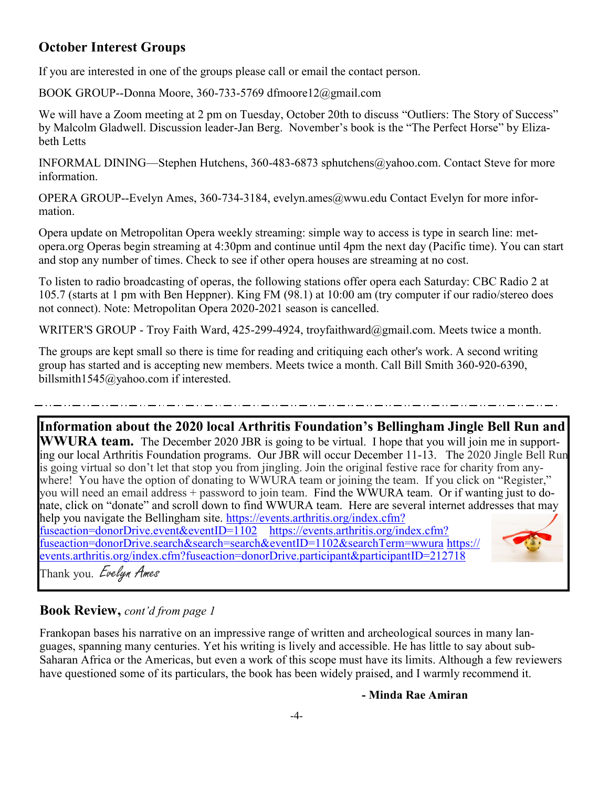# **October Interest Groups**

If you are interested in one of the groups please call or email the contact person.

BOOK GROUP--Donna Moore, 360-733-5769 dfmoore12@gmail.com

We will have a Zoom meeting at 2 pm on Tuesday, October 20th to discuss "Outliers: The Story of Success" by Malcolm Gladwell. Discussion leader-Jan Berg. November's book is the "The Perfect Horse" by Elizabeth Letts

INFORMAL DINING—Stephen Hutchens, 360-483-6873 sphutchens@yahoo.com. Contact Steve for more information.

OPERA GROUP--Evelyn Ames, 360-734-3184, evelyn.ames@wwu.edu Contact Evelyn for more information.

Opera update on Metropolitan Opera weekly streaming: simple way to access is type in search line: metopera.org Operas begin streaming at 4:30pm and continue until 4pm the next day (Pacific time). You can start and stop any number of times. Check to see if other opera houses are streaming at no cost.

To listen to radio broadcasting of operas, the following stations offer opera each Saturday: CBC Radio 2 at 105.7 (starts at 1 pm with Ben Heppner). King FM (98.1) at 10:00 am (try computer if our radio/stereo does not connect). Note: Metropolitan Opera 2020-2021 season is cancelled.

WRITER'S GROUP - Troy Faith Ward, 425-299-4924, troyfaithward@gmail.com. Meets twice a month.

The groups are kept small so there is time for reading and critiquing each other's work. A second writing group has started and is accepting new members. Meets twice a month. Call Bill Smith 360-920-6390, billsmith1545@yahoo.com if interested.

**Information about the 2020 local Arthritis Foundation's Bellingham Jingle Bell Run and WWURA team.** The December 2020 JBR is going to be virtual. I hope that you will join me in supporting our local Arthritis Foundation programs. Our JBR will occur December 11-13. The 2020 Jingle Bell Run is going virtual so don't let that stop you from jingling. Join the original festive race for charity from anywhere! You have the option of donating to WWURA team or joining the team. If you click on "Register," you will need an email address + password to join team. Find the WWURA team. Or if wanting just to donate, click on "donate" and scroll down to find WWURA team. Here are several internet addresses that may help you navigate the Bellingham site. [https://events.arthritis.org/index.cfm?](https://events.arthritis.org/index.cfm?fuseaction=donorDrive.event&eventID=1102) [fuseaction=donorDrive.event&eventID=1102](https://events.arthritis.org/index.cfm?fuseaction=donorDrive.event&eventID=1102) [https://events.arthritis.org/index.cfm?](https://events.arthritis.org/index.cfm?fuseaction=donorDrive.search&search=search&eventID=1102&searchTerm=wwura) [fuseaction=donorDrive.search&search=search&eventID=1102&searchTerm=wwura](https://events.arthritis.org/index.cfm?fuseaction=donorDrive.search&search=search&eventID=1102&searchTerm=wwura) [https://](https://events.arthritis.org/index.cfm?fuseaction=donorDrive.participant&participantID=212718) [events.arthritis.org/index.cfm?fuseaction=donorDrive.participant&participantID=212718](https://events.arthritis.org/index.cfm?fuseaction=donorDrive.participant&participantID=212718) Thank you. Evelyn Ames

## **Book Review,** *cont'd from page 1*

Frankopan bases his narrative on an impressive range of written and archeological sources in many languages, spanning many centuries. Yet his writing is lively and accessible. He has little to say about sub-Saharan Africa or the Americas, but even a work of this scope must have its limits. Although a few reviewers have questioned some of its particulars, the book has been widely praised, and I warmly recommend it.

#### **- Minda Rae Amiran**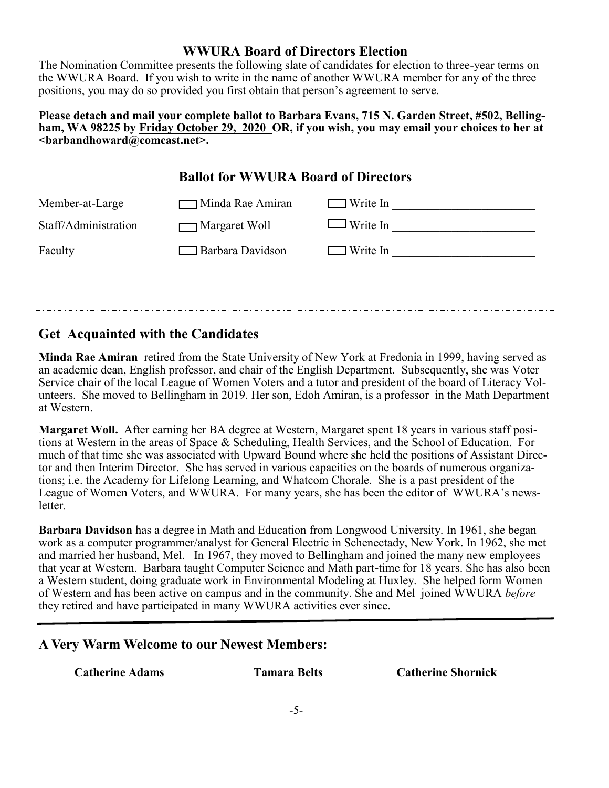### **WWURA Board of Directors Election**

The Nomination Committee presents the following slate of candidates for election to three-year terms on the WWURA Board. If you wish to write in the name of another WWURA member for any of the three positions, you may do so provided you first obtain that person's agreement to serve.

#### **Please detach and mail your complete ballot to Barbara Evans, 715 N. Garden Street, #502, Bellingham, WA 98225 by Friday October 29, 2020 OR, if you wish, you may email your choices to her at <barbandhoward@comcast.net>.**

# **Ballot for WWURA Board of Directors**

| Member-at-Large      | Minda Rae Amiran   | Write In        |
|----------------------|--------------------|-----------------|
| Staff/Administration | Margaret Woll      | $\Box$ Write In |
| Faculty              | □ Barbara Davidson | Write In        |
|                      |                    |                 |

## **Get Acquainted with the Candidates**

**Minda Rae Amiran** retired from the State University of New York at Fredonia in 1999, having served as an academic dean, English professor, and chair of the English Department. Subsequently, she was Voter Service chair of the local League of Women Voters and a tutor and president of the board of Literacy Volunteers. She moved to Bellingham in 2019. Her son, Edoh Amiran, is a professor in the Math Department at Western.

**Margaret Woll.** After earning her BA degree at Western, Margaret spent 18 years in various staff positions at Western in the areas of Space & Scheduling, Health Services, and the School of Education. For much of that time she was associated with Upward Bound where she held the positions of Assistant Director and then Interim Director. She has served in various capacities on the boards of numerous organizations; i.e. the Academy for Lifelong Learning, and Whatcom Chorale. She is a past president of the League of Women Voters, and WWURA. For many years, she has been the editor of WWURA's newsletter.

**Barbara Davidson** has a degree in Math and Education from Longwood University. In 1961, she began work as a computer programmer/analyst for General Electric in Schenectady, New York. In 1962, she met and married her husband, Mel. In 1967, they moved to Bellingham and joined the many new employees that year at Western. Barbara taught Computer Science and Math part-time for 18 years. She has also been a Western student, doing graduate work in Environmental Modeling at Huxley. She helped form Women of Western and has been active on campus and in the community. She and Mel joined WWURA *before* they retired and have participated in many WWURA activities ever since.

## **A Very Warm Welcome to our Newest Members:**

**Catherine Adams Tamara Belts Catherine Shornick**